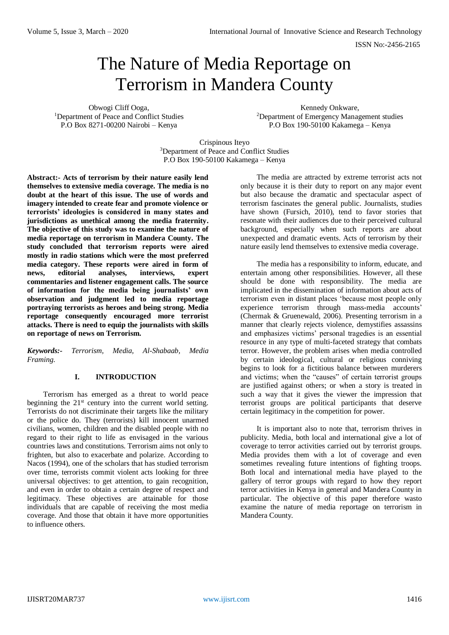# The Nature of Media Reportage on Terrorism in Mandera County

Obwogi Cliff Ooga, <sup>1</sup>Department of Peace and Conflict Studies P.O Box 8271-00200 Nairobi – Kenya

Kennedy Onkware, <sup>2</sup>Department of Emergency Management studies P.O Box 190-50100 Kakamega – Kenya

Crispinous Iteyo <sup>3</sup>Department of Peace and Conflict Studies P.O Box 190-50100 Kakamega – Kenya

**Abstract:- Acts of terrorism by their nature easily lend themselves to extensive media coverage. The media is no doubt at the heart of this issue. The use of words and imagery intended to create fear and promote violence or terrorists' ideologies is considered in many states and jurisdictions as unethical among the media fraternity. The objective of this study was to examine the nature of media reportage on terrorism in Mandera County. The study concluded that terrorism reports were aired mostly in radio stations which were the most preferred media category. These reports were aired in form of news, editorial analyses, interviews, expert commentaries and listener engagement calls. The source of information for the media being journalists' own observation and judgment led to media reportage portraying terrorists as heroes and being strong. Media reportage consequently encouraged more terrorist attacks. There is need to equip the journalists with skills on reportage of news on Terrorism.**

*Keywords:- Terrorism, Media, Al-Shabaab, Media Framing.*

# **I. INTRODUCTION**

Terrorism has emerged as a threat to world peace beginning the  $21<sup>st</sup>$  century into the current world setting. Terrorists do not discriminate their targets like the military or the police do. They (terrorists) kill innocent unarmed civilians, women, children and the disabled people with no regard to their right to life as envisaged in the various countries laws and constitutions. Terrorism aims not only to frighten, but also to exacerbate and polarize. According to Nacos (1994), one of the scholars that has studied terrorism over time, terrorists commit violent acts looking for three universal objectives: to get attention, to gain recognition, and even in order to obtain a certain degree of respect and legitimacy. These objectives are attainable for those individuals that are capable of receiving the most media coverage. And those that obtain it have more opportunities to influence others.

The media are attracted by extreme terrorist acts not only because it is their duty to report on any major event but also because the dramatic and spectacular aspect of terrorism fascinates the general public. Journalists, studies have shown (Fursich, 2010), tend to favor stories that resonate with their audiences due to their perceived cultural background, especially when such reports are about unexpected and dramatic events. Acts of terrorism by their nature easily lend themselves to extensive media coverage.

The media has a responsibility to inform, educate, and entertain among other responsibilities. However, all these should be done with responsibility. The media are implicated in the dissemination of information about acts of terrorism even in distant places 'because most people only experience terrorism through mass-media accounts' (Chermak & Gruenewald, 2006). Presenting terrorism in a manner that clearly rejects violence, demystifies assassins and emphasizes victims' personal tragedies is an essential resource in any type of multi-faceted strategy that combats terror. However, the problem arises when media controlled by certain ideological, cultural or religious conniving begins to look for a fictitious balance between murderers and victims; when the "causes" of certain terrorist groups are justified against others; or when a story is treated in such a way that it gives the viewer the impression that terrorist groups are political participants that deserve certain legitimacy in the competition for power.

It is important also to note that, terrorism thrives in publicity. Media, both local and international give a lot of coverage to terror activities carried out by terrorist groups. Media provides them with a lot of coverage and even sometimes revealing future intentions of fighting troops. Both local and international media have played to the gallery of terror groups with regard to how they report terror activities in Kenya in general and Mandera County in particular. The objective of this paper therefore wasto examine the nature of media reportage on terrorism in Mandera County.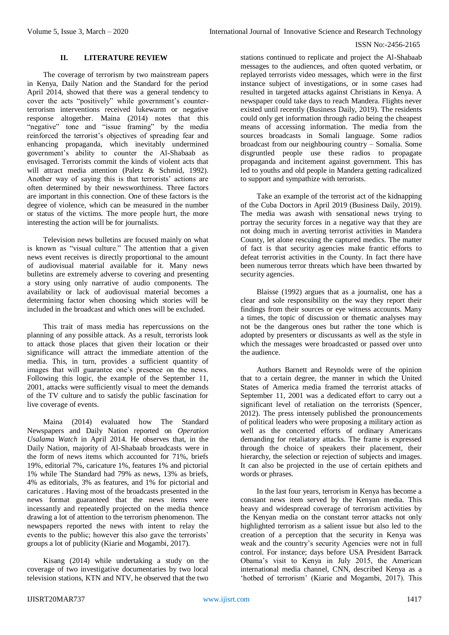# **II. LITERATURE REVIEW**

The coverage of terrorism by two mainstream papers in Kenya, Daily Nation and the Standard for the period April 2014, showed that there was a general tendency to cover the acts "positively" while government's counterterrorism interventions received lukewarm or negative response altogether. Maina (2014) notes that this "regative" tone and "issue framing" by the media reinforced the terrorist's objectives of spreading fear and enhancing propaganda, which inevitably undermined government's ability to counter the Al-Shabaab as envisaged. Terrorists commit the kinds of violent acts that will attract media attention (Paletz & Schmid, 1992). Another way of saying this is that terrorists' actions are often determined by their newsworthiness. Three factors are important in this connection. One of these factors is the degree of violence, which can be measured in the number or status of the victims. The more people hurt, the more interesting the action will be for journalists.

Television news bulletins are focused mainly on what is known as "visual culture." The attention that a given news event receives is directly proportional to the amount of audiovisual material available for it. Many news bulletins are extremely adverse to covering and presenting a story using only narrative of audio components. The availability or lack of audiovisual material becomes a determining factor when choosing which stories will be included in the broadcast and which ones will be excluded.

This trait of mass media has repercussions on the planning of any possible attack. As a result, terrorists look to attack those places that given their location or their significance will attract the immediate attention of the media. This, in turn, provides a sufficient quantity of images that will guarantee one's presence on the news. Following this logic, the example of the September 11, 2001, attacks were sufficiently visual to meet the demands of the TV culture and to satisfy the public fascination for live coverage of events.

Maina (2014) evaluated how The Standard Newspapers and Daily Nation reported on *Operation Usalama Watch* in April 2014. He observes that, in the Daily Nation, majority of Al-Shabaab broadcasts were in the form of news items which accounted for 71%, briefs 19%, editorial 7%, caricature 1%, features 1% and pictorial 1% while The Standard had 79% as news, 13% as briefs, 4% as editorials, 3% as features, and 1% for pictorial and caricatures . Having most of the broadcasts presented in the news format guaranteed that the news items were incessantly and repeatedly projected on the media thence drawing a lot of attention to the terrorism phenomenon. The newspapers reported the news with intent to relay the events to the public; however this also gave the terrorists' groups a lot of publicity (Kiarie and Mogambi, 2017).

Kisang (2014) while undertaking a study on the coverage of two investigative documentaries by two local television stations, KTN and NTV, he observed that the two

stations continued to replicate and project the Al-Shabaab messages to the audiences, and often quoted verbatim, or replayed terrorists video messages, which were in the first instance subject of investigations, or in some cases had resulted in targeted attacks against Christians in Kenya. A newspaper could take days to reach Mandera. Flights never existed until recently (Business Daily, 2019). The residents could only get information through radio being the cheapest means of accessing information. The media from the sources broadcasts in Somali language. Some radios broadcast from our neighbouring country – Somalia. Some disgruntled people use these radios to propagate propaganda and incitement against government. This has led to youths and old people in Mandera getting radicalized to support and sympathize with terrorists.

Take an example of the terrorist act of the kidnapping of the Cuba Doctors in April 2019 (Business Daily, 2019). The media was awash with sensational news trying to portray the security forces in a negative way that they are not doing much in averting terrorist activities in Mandera County, let alone rescuing the captured medics. The matter of fact is that security agencies make frantic efforts to defeat terrorist activities in the County. In fact there have been numerous terror threats which have been thwarted by security agencies.

Blaisse (1992) argues that as a journalist, one has a clear and sole responsibility on the way they report their findings from their sources or eye witness accounts. Many a times, the topic of discussion or thematic analyses may not be the dangerous ones but rather the tone which is adopted by presenters or discussants as well as the style in which the messages were broadcasted or passed over unto the audience.

Authors Barnett and Reynolds were of the opinion that to a certain degree, the manner in which the United States of America media framed the terrorist attacks of September 11, 2001 was a dedicated effort to carry out a significant level of retaliation on the terrorists (Spencer, 2012). The press intensely published the pronouncements of political leaders who were proposing a military action as well as the concerted efforts of ordinary Americans demanding for retaliatory attacks. The frame is expressed through the choice of speakers their placement, their hierarchy, the selection or rejection of subjects and images. It can also be projected in the use of certain epithets and words or phrases.

In the last four years, terrorism in Kenya has become a constant news item served by the Kenyan media. This heavy and widespread coverage of terrorism activities by the Kenyan media on the constant terror attacks not only highlighted terrorism as a salient issue but also led to the creation of a perception that the security in Kenya was weak and the country's security Agencies were not in full control. For instance; days before USA President Barrack Obama's visit to Kenya in July 2015, the American international media channel, CNN, described Kenya as a 'hotbed of terrorism' (Kiarie and Mogambi, 2017). This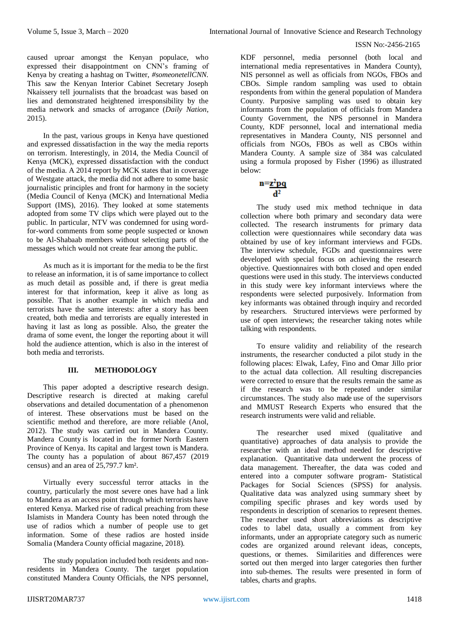caused uproar amongst the Kenyan populace, who expressed their disappointment on CNN's framing of Kenya by creating a hashtag on Twitter, *#someonetellCNN.* This saw the Kenyan Interior Cabinet Secretary Joseph Nkaissery tell journalists that the broadcast was based on lies and demonstrated heightened irresponsibility by the media network and smacks of arrogance (*Daily Nation*, 2015).

In the past, various groups in Kenya have questioned and expressed dissatisfaction in the way the media reports on terrorism. Interestingly, in 2014, the Media Council of Kenya (MCK), expressed dissatisfaction with the conduct of the media. A 2014 report by MCK states that in coverage of Westgate attack, the media did not adhere to some basic journalistic principles and front for harmony in the society (Media Council of Kenya (MCK) and International Media Support (IMS), 2016). They looked at some statements adopted from some TV clips which were played out to the public. In particular, NTV was condemned for using wordfor-word comments from some people suspected or known to be Al-Shabaab members without selecting parts of the messages which would not create fear among the public.

As much as it is important for the media to be the first to release an information, it is of same importance to collect as much detail as possible and, if there is great media interest for that information, keep it alive as long as possible. That is another example in which media and terrorists have the same interests: after a story has been created, both media and terrorists are equally interested in having it last as long as possible. Also, the greater the drama of some event, the longer the reporting about it will hold the audience attention, which is also in the interest of both media and terrorists.

# **III. METHODOLOGY**

This paper adopted a descriptive research design. Descriptive research is directed at making careful observations and detailed documentation of a phenomenon of interest. These observations must be based on the scientific method and therefore, are more reliable (Anol, 2012). The study was carried out in Mandera County. Mandera County is located in the former North Eastern Province of Kenya. Its capital and largest town is Mandera. The county has a population of about 867,457 (2019 census) and an area of 25,797.7 km².

Virtually every successful terror attacks in the country, particularly the most severe ones have had a link to Mandera as an access point through which terrorists have entered Kenya. Marked rise of radical preaching from these Islamists in Mandera County has been noted through the use of radios which a number of people use to get information. Some of these radios are hosted inside Somalia (Mandera County official magazine, 2018).

The study population included both residents and nonresidents in Mandera County. The target population constituted Mandera County Officials, the NPS personnel,

KDF personnel, media personnel (both local and international media representatives in Mandera County), NIS personnel as well as officials from NGOs, FBOs and CBOs. Simple random sampling was used to obtain respondents from within the general population of Mandera County. Purposive sampling was used to obtain key informants from the population of officials from Mandera County Government, the NPS personnel in Mandera County, KDF personnel, local and international media representatives in Mandera County, NIS personnel and officials from NGOs, FBOs as well as CBOs within Mandera County. A sample size of 384 was calculated using a formula proposed by Fisher (1996) as illustrated below:

$$
n = \frac{z^2pq}{d^2}
$$

The study used mix method technique in data collection where both primary and secondary data were collected. The research instruments for primary data collection were questionnaires while secondary data was obtained by use of key informant interviews and FGDs. The interview schedule, FGDs and questionnaires were developed with special focus on achieving the research objective. Questionnaires with both closed and open ended questions were used in this study. The interviews conducted in this study were key informant interviews where the respondents were selected purposively. Information from key informants was obtained through inquiry and recorded by researchers. Structured interviews were performed by use of open interviews; the researcher taking notes while talking with respondents.

To ensure validity and reliability of the research instruments, the researcher conducted a pilot study in the following places: Elwak, Lafey, Fino and Omar Jillo prior to the actual data collection. All resulting discrepancies were corrected to ensure that the results remain the same as if the research was to be repeated under similar circumstances. The study also made use of the supervisors and MMUST Research Experts who ensured that the research instruments were valid and reliable.

The researcher used mixed (qualitative and quantitative) approaches of data analysis to provide the researcher with an ideal method needed for descriptive explanation. Quantitative data underwent the process of data management. Thereafter, the data was coded and entered into a computer software program- Statistical Packages for Social Sciences (SPSS) for analysis. Qualitative data was analyzed using summary sheet by compiling specific phrases and key words used by respondents in description of scenarios to represent themes. The researcher used short abbreviations as descriptive codes to label data, usually a comment from key informants, under an appropriate category such as numeric codes are organized around relevant ideas, concepts, questions, or themes. Similarities and differences were sorted out then merged into larger categories then further into sub-themes. The results were presented in form of tables, charts and graphs.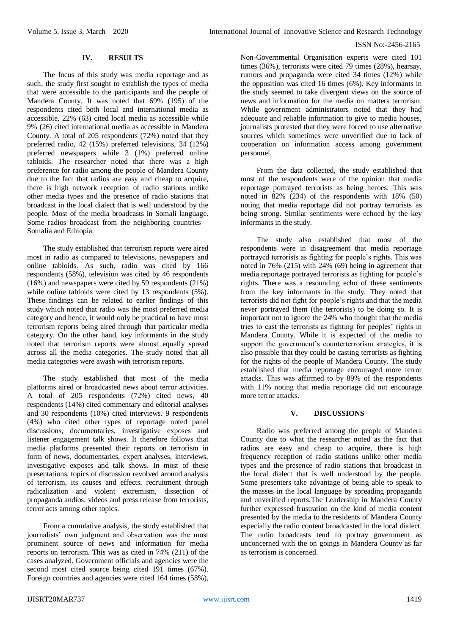#### **IV. RESULTS**

The focus of this study was media reportage and as such, the study first sought to establish the types of media that were accessible to the participants and the people of Mandera County. It was noted that 69% (195) of the respondents cited both local and international media as accessible, 22% (63) cited local media as accessible while 9% (26) cited international media as accessible in Mandera County. A total of 205 respondents (72%) noted that they preferred radio, 42 (15%) preferred televisions, 34 (12%) preferred newspapers while 3 (1%) preferred online tabloids. The researcher noted that there was a high preference for radio among the people of Mandera County due to the fact that radios are easy and cheap to acquire, there is high network reception of radio stations unlike other media types and the presence of radio stations that broadcast in the local dialect that is well understood by the people. Most of the media broadcasts in Somali language. Some radios broadcast from the neighboring countries – Somalia and Ethiopia.

The study established that terrorism reports were aired most in radio as compared to televisions, newspapers and online tabloids. As such, radio was cited by 166 respondents (58%), television was cited by 46 respondents (16%) and newspapers were cited by 59 respondents (21%) while online tabloids were cited by 13 respondents (5%). These findings can be related to earlier findings of this study which noted that radio was the most preferred media category and hence, it would only be practical to have most terrorism reports being aired through that particular media category. On the other hand, key informants in the study noted that terrorism reports were almost equally spread across all the media categories. The study noted that all media categories were awash with terrorism reports.

The study established that most of the media platforms aired or broadcasted news about terror activities. A total of 205 respondents (72%) cited news, 40 respondents (14%) cited commentary and editorial analyses and 30 respondents (10%) cited interviews. 9 respondents (4%) who cited other types of reportage noted panel discussions, documentaries, investigative exposes and listener engagement talk shows. It therefore follows that media platforms presented their reports on terrorism in form of news, documentaries, expert analyses, interviews, investigative exposes and talk shows. In most of these presentations, topics of discussion revolved around analysis of terrorism, its causes and effects, recruitment through radicalization and violent extremism, dissection of propaganda audios, videos and press release from terrorists, terror acts among other topics.

From a cumulative analysis, the study established that journalists' own judgment and observation was the most prominent source of news and information for media reports on terrorism. This was as cited in 74% (211) of the cases analyzed. Government officials and agencies were the second most cited source being cited 191 times (67%). Foreign countries and agencies were cited 164 times (58%),

Non-Governmental Organisation experts were cited 101 times (36%), terrorists were cited 79 times (28%), hearsay, rumors and propaganda were cited 34 times (12%) while the opposition was cited 16 times (6%). Key informants in the study seemed to take divergent views on the source of news and information for the media on matters terrorism. While government administrators noted that they had adequate and reliable information to give to media houses, journalists protested that they were forced to use alternative sources which sometimes were unverified due to lack of cooperation on information access among government personnel.

From the data collected, the study established that most of the respondents were of the opinion that media reportage portrayed terrorists as being heroes. This was noted in 82% (234) of the respondents with 18% (50) noting that media reportage did not portray terrorists as being strong. Similar sentiments were echoed by the key informants in the study.

The study also established that most of the respondents were in disagreement that media reportage portrayed terrorists as fighting for people's rights. This was noted in 76% (215) with 24% (69) being in agreement that media reportage portrayed terrorists as fighting for people's rights. There was a resounding echo of these sentiments from the key informants in the study. They noted that terrorists did not fight for people's rights and that the media never portrayed them (the terrorists) to be doing so. It is important not to ignore the 24% who thought that the media tries to cast the terrorists as fighting for peoples' rights in Mandera County. While it is expected of the media to support the government's counterterrorism strategies, it is also possible that they could be casting terrorists as fighting for the rights of the people of Mandera County. The study established that media reportage encouraged more terror attacks. This was affirmed to by 89% of the respondents with 11% noting that media reportage did not encourage more terror attacks.

#### **V. DISCUSSIONS**

Radio was preferred among the people of Mandera County due to what the researcher noted as the fact that radios are easy and cheap to acquire, there is high frequency reception of radio stations unlike other media types and the presence of radio stations that broadcast in the local dialect that is well understood by the people. Some presenters take advantage of being able to speak to the masses in the local language by spreading propaganda and unverified reports.The Leadership in Mandera County further expressed frustration on the kind of media content presented by the media to the residents of Mandera County especially the radio content broadcasted in the local dialect. The radio broadcasts tend to portray government as unconcerned with the on goings in Mandera County as far as terrorism is concerned.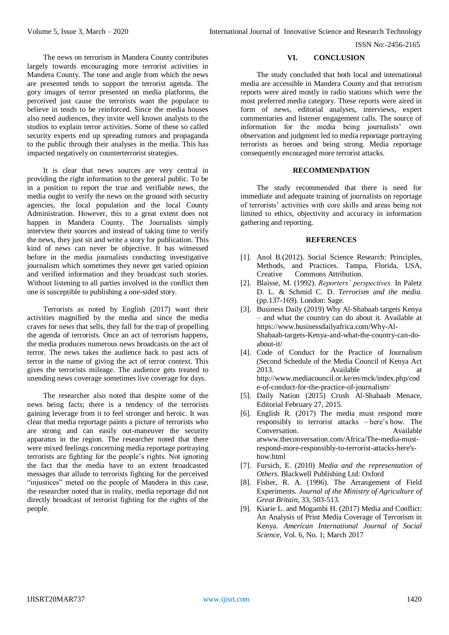The news on terrorism in Mandera County contributes largely towards encouraging more terrorist activities in Mandera County. The tone and angle from which the news are presented tends to support the terrorist agenda. The gory images of terror presented on media platforms, the perceived just cause the terrorists want the populace to believe in tends to be reinforced. Since the media houses also need audiences, they invite well known analysts to the studios to explain terror activities. Some of these so called security experts end up spreading rumors and propaganda to the public through their analyses in the media. This has impacted negatively on counterterrorist strategies.

It is clear that news sources are very central in providing the right information to the general public. To be in a position to report the true and verifiable news, the media ought to verify the news on the ground with security agencies, the local population and the local County Administration. However, this to a great extent does not happen in Mandera County. The Journalists simply interview their sources and instead of taking time to verify the news, they just sit and write a story for publication. This kind of news can never be objective. It has witnessed before in the media journalists conducting investigative journalism which sometimes they never get varied opinion and verified information and they broadcast such stories. Without listening to all parties involved in the conflict then one is susceptible to publishing a one-sided story.

Terrorists as noted by English (2017) want their activities magnified by the media and since the media craves for news that sells, they fall for the trap of propelling the agenda of terrorists. Once an act of terrorism happens, the media produces numerous news broadcasts on the act of terror. The news takes the audience back to past acts of terror in the name of giving the act of terror context. This gives the terrorists mileage. The audience gets treated to unending news coverage sometimes live coverage for days.

The researcher also noted that despite some of the news being facts; there is a tendency of the terrorists gaining leverage from it to feel stronger and heroic. It was clear that media reportage paints a picture of terrorists who are strong and can easily out-maneuver the security apparatus in the region. The researcher noted that there were mixed feelings concerning media reportage portraying terrorists are fighting for the people's rights. Not ignoring the fact that the media have to an extent broadcasted messages that allude to terrorists fighting for the perceived "injustices" meted on the people of Mandera in this case, the researcher noted that in reality, media reportage did not directly broadcast of terrorist fighting for the rights of the people.

# **VI. CONCLUSION**

The study concluded that both local and international media are accessible in Mandera County and that terrorism reports were aired mostly in radio stations which were the most preferred media category. These reports were aired in form of news, editorial analyses, interviews, expert commentaries and listener engagement calls. The source of information for the media being journalists' own observation and judgment led to media reportage portraying terrorists as heroes and being strong. Media reportage consequently encouraged more terrorist attacks.

# **RECOMMENDATION**

The study recommended that there is need for immediate and adequate training of journalists on reportage of terrorists' activities with core skills and areas being not limited to ethics, objectivity and accuracy in information gathering and reporting.

#### **REFERENCES**

- [1]. Anol B.(2012). Social Science Research: Principles, Methods, and Practices. Tampa, Florida, USA, Creative Commons Attribution.
- [2]. Blaisse, M. (1992). *Reporters' perspectives.* In Paletz D. L. & Schmid C. D. *Terrorism and the media.*  (pp.137-169). London: Sage.
- [3]. Business Daily (2019) Why Al-Shabaab targets Kenya – and what the country can do about it. Available at [https://www.businessdailyafrica.com/Why-Al-](https://www.businessdailyafrica.com/Why-Al-Shabaab-targets-Kenya-and-what-the-country-can-do-about-it/)[Shabaab-targets-Kenya-and-what-the-country-can-do](https://www.businessdailyafrica.com/Why-Al-Shabaab-targets-Kenya-and-what-the-country-can-do-about-it/)[about-it/](https://www.businessdailyafrica.com/Why-Al-Shabaab-targets-Kenya-and-what-the-country-can-do-about-it/)
- [4]. Code of Conduct for the Practice of Journalism (Second Schedule of the Media Council of Kenya Act 2013. Available at [http://www.mediacouncil.or.ke/en/mck/index.php/cod](http://www.mediacouncil.or.ke/en/mck/index.php/code-of-conduct-for-the-practice-of-journalism/) [e-of-conduct-for-the-practice-of-journalism/](http://www.mediacouncil.or.ke/en/mck/index.php/code-of-conduct-for-the-practice-of-journalism/)
- [5]. Daily Nation (2015) Crush Al-Shabaab Menace, Editorial February 27, 2015.
- [6]. English R. (2017) The media must respond more responsibly to terrorist attacks – here's how. The Conversation. Available a[twww.theconversation.com/Africa/The-media-must](http://www.theconversation.com/Africa/The-media-must-respond-more-responsibly-to-terrorist-attacks-here)[respond-more-responsibly-to-terrorist-attacks-here's](http://www.theconversation.com/Africa/The-media-must-respond-more-responsibly-to-terrorist-attacks-here)[how.html](http://www.theconversation.com/Africa/The-media-must-respond-more-responsibly-to-terrorist-attacks-here)
- [7]. Fursich, E. (2010) *Media and the representation of Others.* Blackwell Publishing Ltd: Oxford
- [8]. Fisher, R. A. (1996). The Arrangement of Field Experiments. *Journal of the Ministry of Agriculture of Great Britain*, 33, 503-513.
- [9]. Kiarie L. and Mogambi H. (2017) Media and Conflict: An Analysis of Print Media Coverage of Terrorism in Kenya. *American International Journal of Social Science,* Vol. 6, No. 1; March 2017